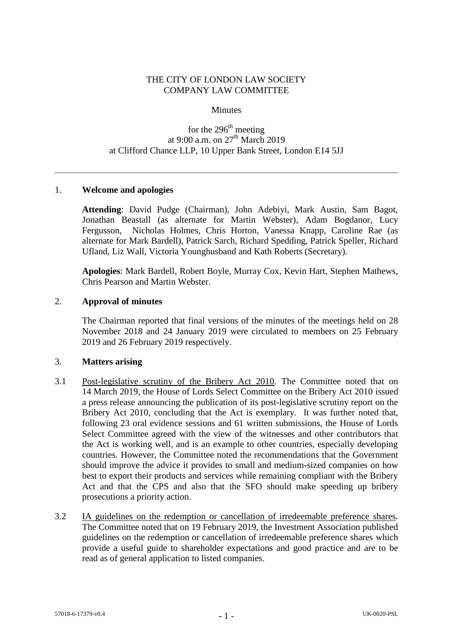### THE CITY OF LONDON LAW SOCIETY COMPANY LAW COMMITTEE

#### **Minutes**

# for the  $296<sup>th</sup>$  meeting at 9:00 a.m. on  $27<sup>th</sup>$  March 2019 at Clifford Chance LLP, 10 Upper Bank Street, London E14 5JJ

### 1. **Welcome and apologies**

**Attending**: David Pudge (Chairman), John Adebiyi, Mark Austin, Sam Bagot, Jonathan Beastall (as alternate for Martin Webster), Adam Bogdanor, Lucy Fergusson, Nicholas Holmes, Chris Horton, Vanessa Knapp, Caroline Rae (as alternate for Mark Bardell), Patrick Sarch, Richard Spedding, Patrick Speller, Richard Ufland, Liz Wall, Victoria Younghusband and Kath Roberts (Secretary).

**Apologies**: Mark Bardell, Robert Boyle, Murray Cox, Kevin Hart, Stephen Mathews, Chris Pearson and Martin Webster.

#### 2. **Approval of minutes**

The Chairman reported that final versions of the minutes of the meetings held on 28 November 2018 and 24 January 2019 were circulated to members on 25 February 2019 and 26 February 2019 respectively.

#### 3. **Matters arising**

- 3.1 Post-legislative scrutiny of the Bribery Act 2010*.* The Committee noted that on 14 March 2019, the House of Lords Select Committee on the Bribery Act 2010 issued a press release announcing the publication of its post-legislative scrutiny report on the Bribery Act 2010, concluding that the Act is exemplary. It was further noted that, following 23 oral evidence sessions and 61 written submissions, the House of Lords Select Committee agreed with the view of the witnesses and other contributors that the Act is working well, and is an example to other countries, especially developing countries. However, the Committee noted the recommendations that the Government should improve the advice it provides to small and medium-sized companies on how best to export their products and services while remaining compliant with the Bribery Act and that the CPS and also that the SFO should make speeding up bribery prosecutions a priority action.
- 3.2 IA guidelines on the redemption or cancellation of irredeemable preference shares*.*  The Committee noted that on 19 February 2019, the Investment Association published guidelines on the redemption or cancellation of irredeemable preference shares which provide a useful guide to shareholder expectations and good practice and are to be read as of general application to listed companies.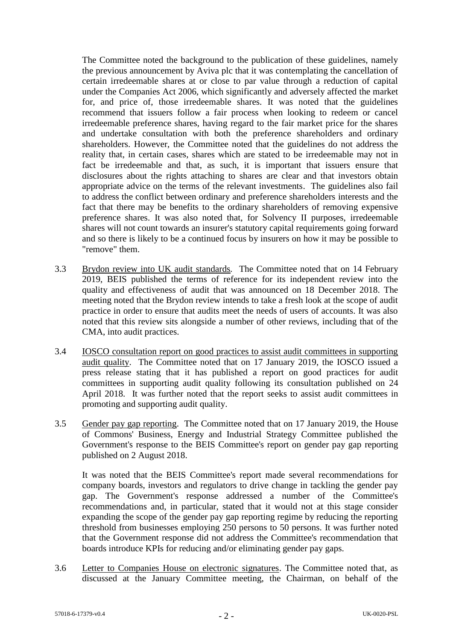The Committee noted the background to the publication of these guidelines, namely the previous announcement by Aviva plc that it was contemplating the cancellation of certain irredeemable shares at or close to par value through a reduction of capital under the Companies Act 2006, which significantly and adversely affected the market for, and price of, those irredeemable shares. It was noted that the guidelines recommend that issuers follow a fair process when looking to redeem or cancel irredeemable preference shares, having regard to the fair market price for the shares and undertake consultation with both the preference shareholders and ordinary shareholders. However, the Committee noted that the guidelines do not address the reality that, in certain cases, shares which are stated to be irredeemable may not in fact be irredeemable and that, as such, it is important that issuers ensure that disclosures about the rights attaching to shares are clear and that investors obtain appropriate advice on the terms of the relevant investments. The guidelines also fail to address the conflict between ordinary and preference shareholders interests and the fact that there may be benefits to the ordinary shareholders of removing expensive preference shares. It was also noted that, for Solvency II purposes, irredeemable shares will not count towards an insurer's statutory capital requirements going forward and so there is likely to be a continued focus by insurers on how it may be possible to "remove" them.

- 3.3 Brydon review into UK audit standards*.* The Committee noted that on 14 February 2019, BEIS published the terms of reference for its independent review into the quality and effectiveness of audit that was announced on 18 December 2018. The meeting noted that the Brydon review intends to take a fresh look at the scope of audit practice in order to ensure that audits meet the needs of users of accounts. It was also noted that this review sits alongside a number of other reviews, including that of the CMA, into audit practices.
- 3.4 IOSCO consultation report on good practices to assist audit committees in supporting audit quality. The Committee noted that on 17 January 2019, the IOSCO issued a press release stating that it has published a report on good practices for audit committees in supporting audit quality following its consultation published on 24 April 2018. It was further noted that the report seeks to assist audit committees in promoting and supporting audit quality.
- 3.5 Gender pay gap reporting. The Committee noted that on 17 January 2019, the House of Commons' Business, Energy and Industrial Strategy Committee published the Government's response to the BEIS Committee's report on gender pay gap reporting published on 2 August 2018.

It was noted that the BEIS Committee's report made several recommendations for company boards, investors and regulators to drive change in tackling the gender pay gap. The Government's response addressed a number of the Committee's recommendations and, in particular, stated that it would not at this stage consider expanding the scope of the gender pay gap reporting regime by reducing the reporting threshold from businesses employing 250 persons to 50 persons. It was further noted that the Government response did not address the Committee's recommendation that boards introduce KPIs for reducing and/or eliminating gender pay gaps.

3.6 Letter to Companies House on electronic signatures. The Committee noted that, as discussed at the January Committee meeting, the Chairman, on behalf of the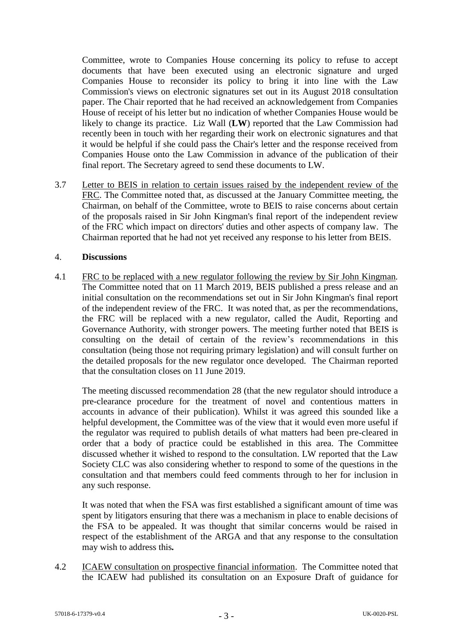Committee, wrote to Companies House concerning its policy to refuse to accept documents that have been executed using an electronic signature and urged Companies House to reconsider its policy to bring it into line with the Law Commission's views on electronic signatures set out in its August 2018 consultation paper. The Chair reported that he had received an acknowledgement from Companies House of receipt of his letter but no indication of whether Companies House would be likely to change its practice. Liz Wall (**LW**) reported that the Law Commission had recently been in touch with her regarding their work on electronic signatures and that it would be helpful if she could pass the Chair's letter and the response received from Companies House onto the Law Commission in advance of the publication of their final report. The Secretary agreed to send these documents to LW.

3.7 Letter to BEIS in relation to certain issues raised by the independent review of the FRC. The Committee noted that, as discussed at the January Committee meeting, the Chairman, on behalf of the Committee, wrote to BEIS to raise concerns about certain of the proposals raised in Sir John Kingman's final report of the independent review of the FRC which impact on directors' duties and other aspects of company law. The Chairman reported that he had not yet received any response to his letter from BEIS.

### 4. **Discussions**

4.1 FRC to be replaced with a new regulator following the review by Sir John Kingman*.*  The Committee noted that on 11 March 2019, BEIS published a press release and an initial consultation on the recommendations set out in Sir John Kingman's final report of the independent review of the FRC. It was noted that, as per the recommendations, the FRC will be replaced with a new regulator, called the Audit, Reporting and Governance Authority, with stronger powers. The meeting further noted that BEIS is consulting on the detail of certain of the review's recommendations in this consultation (being those not requiring primary legislation) and will consult further on the detailed proposals for the new regulator once developed. The Chairman reported that the consultation closes on 11 June 2019.

The meeting discussed recommendation 28 (that the new regulator should introduce a pre-clearance procedure for the treatment of novel and contentious matters in accounts in advance of their publication). Whilst it was agreed this sounded like a helpful development, the Committee was of the view that it would even more useful if the regulator was required to publish details of what matters had been pre-cleared in order that a body of practice could be established in this area. The Committee discussed whether it wished to respond to the consultation. LW reported that the Law Society CLC was also considering whether to respond to some of the questions in the consultation and that members could feed comments through to her for inclusion in any such response.

It was noted that when the FSA was first established a significant amount of time was spent by litigators ensuring that there was a mechanism in place to enable decisions of the FSA to be appealed. It was thought that similar concerns would be raised in respect of the establishment of the ARGA and that any response to the consultation may wish to address this*.*

4.2 ICAEW consultation on prospective financial information. The Committee noted that the ICAEW had published its consultation on an Exposure Draft of guidance for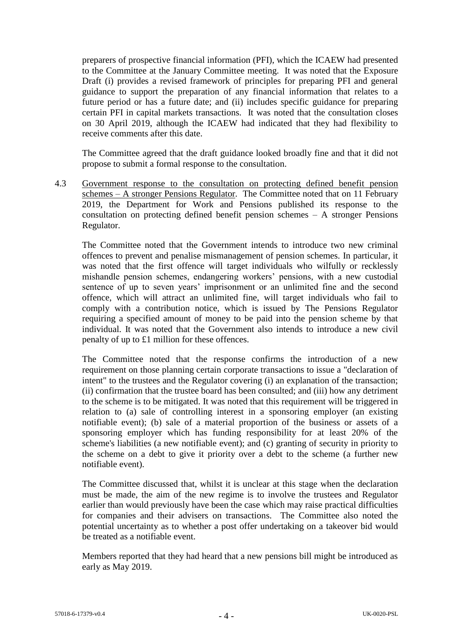preparers of prospective financial information (PFI), which the ICAEW had presented to the Committee at the January Committee meeting. It was noted that the Exposure Draft (i) provides a revised framework of principles for preparing PFI and general guidance to support the preparation of any financial information that relates to a future period or has a future date; and (ii) includes specific guidance for preparing certain PFI in capital markets transactions. It was noted that the consultation closes on 30 April 2019, although the ICAEW had indicated that they had flexibility to receive comments after this date.

The Committee agreed that the draft guidance looked broadly fine and that it did not propose to submit a formal response to the consultation.

4.3 Government response to the consultation on protecting defined benefit pension schemes – A stronger Pensions Regulator*.* The Committee noted that on 11 February 2019, the Department for Work and Pensions published its response to the consultation on protecting defined benefit pension schemes – A stronger Pensions Regulator.

The Committee noted that the Government intends to introduce two new criminal offences to prevent and penalise mismanagement of pension schemes. In particular, it was noted that the first offence will target individuals who wilfully or recklessly mishandle pension schemes, endangering workers' pensions, with a new custodial sentence of up to seven years' imprisonment or an unlimited fine and the second offence, which will attract an unlimited fine, will target individuals who fail to comply with a contribution notice, which is issued by The Pensions Regulator requiring a specified amount of money to be paid into the pension scheme by that individual. It was noted that the Government also intends to introduce a new civil penalty of up to £1 million for these offences.

The Committee noted that the response confirms the introduction of a new requirement on those planning certain corporate transactions to issue a "declaration of intent" to the trustees and the Regulator covering (i) an explanation of the transaction; (ii) confirmation that the trustee board has been consulted; and (iii) how any detriment to the scheme is to be mitigated. It was noted that this requirement will be triggered in relation to (a) sale of controlling interest in a sponsoring employer (an existing notifiable event); (b) sale of a material proportion of the business or assets of a sponsoring employer which has funding responsibility for at least 20% of the scheme's liabilities (a new notifiable event); and (c) granting of security in priority to the scheme on a debt to give it priority over a debt to the scheme (a further new notifiable event).

The Committee discussed that, whilst it is unclear at this stage when the declaration must be made, the aim of the new regime is to involve the trustees and Regulator earlier than would previously have been the case which may raise practical difficulties for companies and their advisers on transactions. The Committee also noted the potential uncertainty as to whether a post offer undertaking on a takeover bid would be treated as a notifiable event.

Members reported that they had heard that a new pensions bill might be introduced as early as May 2019.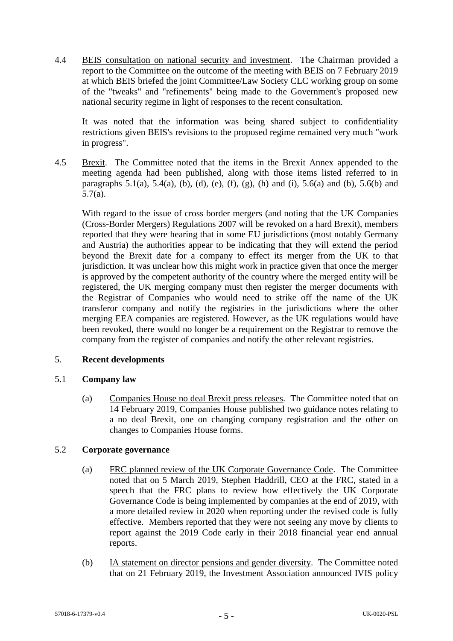4.4 BEIS consultation on national security and investment. The Chairman provided a report to the Committee on the outcome of the meeting with BEIS on 7 February 2019 at which BEIS briefed the joint Committee/Law Society CLC working group on some of the "tweaks" and "refinements" being made to the Government's proposed new national security regime in light of responses to the recent consultation.

It was noted that the information was being shared subject to confidentiality restrictions given BEIS's revisions to the proposed regime remained very much "work in progress".

4.5 Brexit. The Committee noted that the items in the Brexit Annex appended to the meeting agenda had been published, along with those items listed referred to in paragraphs  $5.1(a)$ ,  $5.4(a)$ ,  $(b)$ ,  $(d)$ ,  $(e)$ ,  $(f)$ ,  $(g)$ ,  $(h)$  and  $(i)$ ,  $5.6(a)$  and  $(b)$ ,  $5.6(b)$  and 5.7(a).

With regard to the issue of cross border mergers (and noting that the UK Companies (Cross-Border Mergers) Regulations 2007 will be revoked on a hard Brexit), members reported that they were hearing that in some EU jurisdictions (most notably Germany and Austria) the authorities appear to be indicating that they will extend the period beyond the Brexit date for a company to effect its merger from the UK to that jurisdiction. It was unclear how this might work in practice given that once the merger is approved by the competent authority of the country where the merged entity will be registered, the UK merging company must then register the merger documents with the Registrar of Companies who would need to strike off the name of the UK transferor company and notify the registries in the jurisdictions where the other merging EEA companies are registered. However, as the UK regulations would have been revoked, there would no longer be a requirement on the Registrar to remove the company from the register of companies and notify the other relevant registries.

# 5. **Recent developments**

# 5.1 **Company law**

(a) Companies House no deal Brexit press releases*.* The Committee noted that on 14 February 2019, Companies House published two guidance notes relating to a no deal Brexit, one on changing company registration and the other on changes to Companies House forms.

# 5.2 **Corporate governance**

- (a) FRC planned review of the UK Corporate Governance Code. The Committee noted that on 5 March 2019, Stephen Haddrill, CEO at the FRC, stated in a speech that the FRC plans to review how effectively the UK Corporate Governance Code is being implemented by companies at the end of 2019, with a more detailed review in 2020 when reporting under the revised code is fully effective. Members reported that they were not seeing any move by clients to report against the 2019 Code early in their 2018 financial year end annual reports.
- (b) IA statement on director pensions and gender diversity. The Committee noted that on 21 February 2019, the Investment Association announced IVIS policy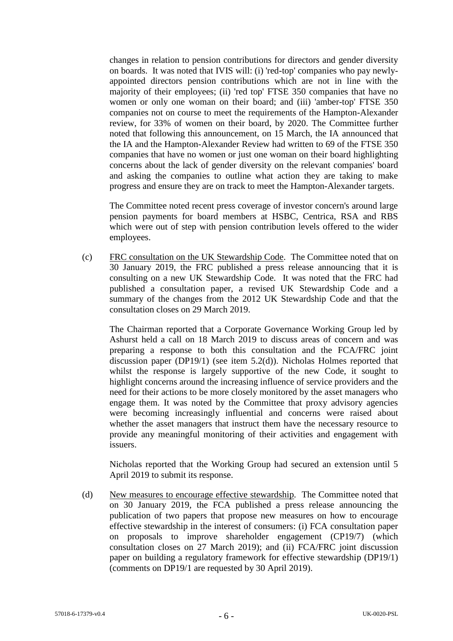changes in relation to pension contributions for directors and gender diversity on boards. It was noted that IVIS will: (i) 'red-top' companies who pay newlyappointed directors pension contributions which are not in line with the majority of their employees; (ii) 'red top' FTSE 350 companies that have no women or only one woman on their board; and (iii) 'amber-top' FTSE 350 companies not on course to meet the requirements of the Hampton-Alexander review, for 33% of women on their board, by 2020. The Committee further noted that following this announcement, on 15 March, the IA announced that the IA and the Hampton-Alexander Review had written to 69 of the FTSE 350 companies that have no women or just one woman on their board highlighting concerns about the lack of gender diversity on the relevant companies' board and asking the companies to outline what action they are taking to make progress and ensure they are on track to meet the Hampton-Alexander targets.

The Committee noted recent press coverage of investor concern's around large pension payments for board members at HSBC, Centrica, RSA and RBS which were out of step with pension contribution levels offered to the wider employees.

(c) FRC consultation on the UK Stewardship Code. The Committee noted that on 30 January 2019, the FRC published a press release announcing that it is consulting on a new UK Stewardship Code. It was noted that the FRC had published a consultation paper, a revised UK Stewardship Code and a summary of the changes from the 2012 UK Stewardship Code and that the consultation closes on 29 March 2019.

The Chairman reported that a Corporate Governance Working Group led by Ashurst held a call on 18 March 2019 to discuss areas of concern and was preparing a response to both this consultation and the FCA/FRC joint discussion paper (DP19/1) (see item 5.2(d)). Nicholas Holmes reported that whilst the response is largely supportive of the new Code, it sought to highlight concerns around the increasing influence of service providers and the need for their actions to be more closely monitored by the asset managers who engage them. It was noted by the Committee that proxy advisory agencies were becoming increasingly influential and concerns were raised about whether the asset managers that instruct them have the necessary resource to provide any meaningful monitoring of their activities and engagement with issuers.

Nicholas reported that the Working Group had secured an extension until 5 April 2019 to submit its response.

(d) New measures to encourage effective stewardship*.* The Committee noted that on 30 January 2019, the FCA published a press release announcing the publication of two papers that propose new measures on how to encourage effective stewardship in the interest of consumers: (i) FCA consultation paper on proposals to improve shareholder engagement (CP19/7) (which consultation closes on 27 March 2019); and (ii) FCA/FRC joint discussion paper on building a regulatory framework for effective stewardship (DP19/1) (comments on DP19/1 are requested by 30 April 2019).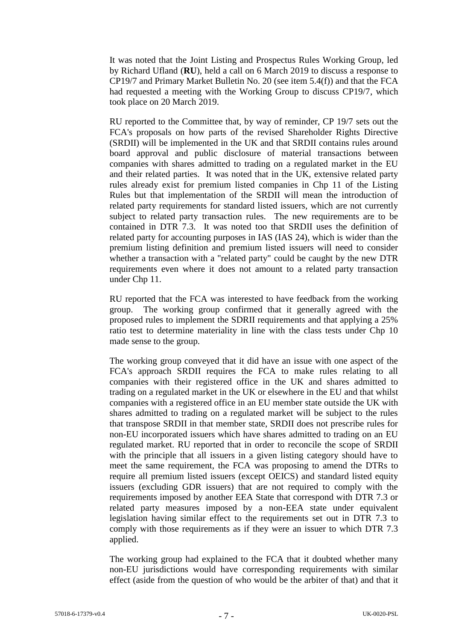It was noted that the Joint Listing and Prospectus Rules Working Group, led by Richard Ufland (**RU**), held a call on 6 March 2019 to discuss a response to CP19/7 and Primary Market Bulletin No. 20 (see item 5.4(f)) and that the FCA had requested a meeting with the Working Group to discuss CP19/7, which took place on 20 March 2019.

RU reported to the Committee that, by way of reminder, CP 19/7 sets out the FCA's proposals on how parts of the revised Shareholder Rights Directive (SRDII) will be implemented in the UK and that SRDII contains rules around board approval and public disclosure of material transactions between companies with shares admitted to trading on a regulated market in the EU and their related parties. It was noted that in the UK, extensive related party rules already exist for premium listed companies in Chp 11 of the Listing Rules but that implementation of the SRDII will mean the introduction of related party requirements for standard listed issuers, which are not currently subject to related party transaction rules. The new requirements are to be contained in DTR 7.3. It was noted too that SRDII uses the definition of related party for accounting purposes in IAS (IAS 24), which is wider than the premium listing definition and premium listed issuers will need to consider whether a transaction with a "related party" could be caught by the new DTR requirements even where it does not amount to a related party transaction under Chp 11.

RU reported that the FCA was interested to have feedback from the working group. The working group confirmed that it generally agreed with the proposed rules to implement the SDRII requirements and that applying a 25% ratio test to determine materiality in line with the class tests under Chp 10 made sense to the group.

The working group conveyed that it did have an issue with one aspect of the FCA's approach SRDII requires the FCA to make rules relating to all companies with their registered office in the UK and shares admitted to trading on a regulated market in the UK or elsewhere in the EU and that whilst companies with a registered office in an EU member state outside the UK with shares admitted to trading on a regulated market will be subject to the rules that transpose SRDII in that member state, SRDII does not prescribe rules for non-EU incorporated issuers which have shares admitted to trading on an EU regulated market. RU reported that in order to reconcile the scope of SRDII with the principle that all issuers in a given listing category should have to meet the same requirement, the FCA was proposing to amend the DTRs to require all premium listed issuers (except OEICS) and standard listed equity issuers (excluding GDR issuers) that are not required to comply with the requirements imposed by another EEA State that correspond with DTR 7.3 or related party measures imposed by a non-EEA state under equivalent legislation having similar effect to the requirements set out in DTR 7.3 to comply with those requirements as if they were an issuer to which DTR 7.3 applied.

The working group had explained to the FCA that it doubted whether many non-EU jurisdictions would have corresponding requirements with similar effect (aside from the question of who would be the arbiter of that) and that it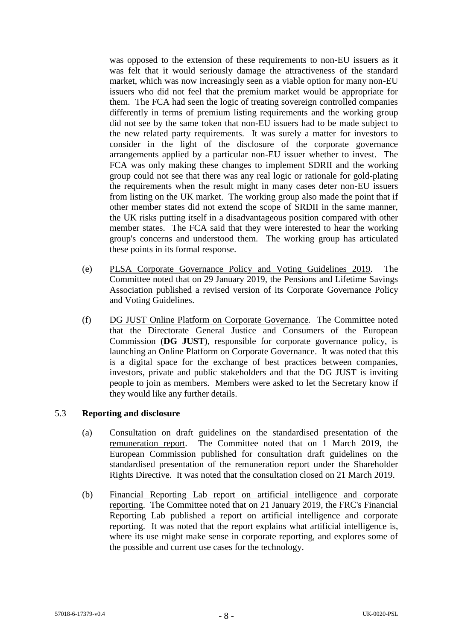was opposed to the extension of these requirements to non-EU issuers as it was felt that it would seriously damage the attractiveness of the standard market, which was now increasingly seen as a viable option for many non-EU issuers who did not feel that the premium market would be appropriate for them. The FCA had seen the logic of treating sovereign controlled companies differently in terms of premium listing requirements and the working group did not see by the same token that non-EU issuers had to be made subject to the new related party requirements. It was surely a matter for investors to consider in the light of the disclosure of the corporate governance arrangements applied by a particular non-EU issuer whether to invest. The FCA was only making these changes to implement SDRII and the working group could not see that there was any real logic or rationale for gold-plating the requirements when the result might in many cases deter non-EU issuers from listing on the UK market. The working group also made the point that if other member states did not extend the scope of SRDII in the same manner, the UK risks putting itself in a disadvantageous position compared with other member states. The FCA said that they were interested to hear the working group's concerns and understood them. The working group has articulated these points in its formal response.

- (e) PLSA Corporate Governance Policy and Voting Guidelines 2019*.* The Committee noted that on 29 January 2019, the Pensions and Lifetime Savings Association published a revised version of its Corporate Governance Policy and Voting Guidelines.
- (f) DG JUST Online Platform on Corporate Governance*.* The Committee noted that the Directorate General Justice and Consumers of the European Commission (**DG JUST**), responsible for corporate governance policy, is launching an Online Platform on Corporate Governance. It was noted that this is a digital space for the exchange of best practices between companies, investors, private and public stakeholders and that the DG JUST is inviting people to join as members. Members were asked to let the Secretary know if they would like any further details.

### 5.3 **Reporting and disclosure**

- (a) Consultation on draft guidelines on the standardised presentation of the remuneration report*.* The Committee noted that on 1 March 2019, the European Commission published for consultation draft guidelines on the standardised presentation of the remuneration report under the Shareholder Rights Directive. It was noted that the consultation closed on 21 March 2019.
- (b) Financial Reporting Lab report on artificial intelligence and corporate reporting. The Committee noted that on 21 January 2019, the FRC's Financial Reporting Lab published a report on artificial intelligence and corporate reporting. It was noted that the report explains what artificial intelligence is, where its use might make sense in corporate reporting, and explores some of the possible and current use cases for the technology.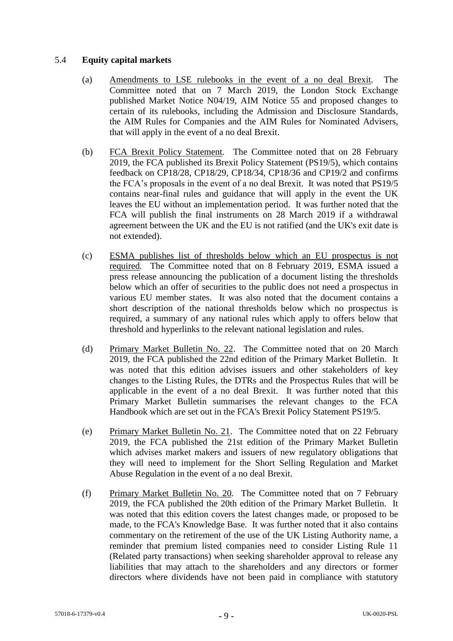### 5.4 **Equity capital markets**

- (a) Amendments to LSE rulebooks in the event of a no deal Brexit*.* The Committee noted that on 7 March 2019, the London Stock Exchange published Market Notice N04/19, AIM Notice 55 and proposed changes to certain of its rulebooks, including the Admission and Disclosure Standards, the AIM Rules for Companies and the AIM Rules for Nominated Advisers, that will apply in the event of a no deal Brexit.
- (b) FCA Brexit Policy Statement*.* The Committee noted that on 28 February 2019, the FCA published its Brexit Policy Statement (PS19/5), which contains feedback on CP18/28, CP18/29, CP18/34, CP18/36 and CP19/2 and confirms the FCA's proposals in the event of a no deal Brexit. It was noted that PS19/5 contains near-final rules and guidance that will apply in the event the UK leaves the EU without an implementation period. It was further noted that the FCA will publish the final instruments on 28 March 2019 if a withdrawal agreement between the UK and the EU is not ratified (and the UK's exit date is not extended).
- (c) ESMA publishes list of thresholds below which an EU prospectus is not required*.* The Committee noted that on 8 February 2019, ESMA issued a press release announcing the publication of a document listing the thresholds below which an offer of securities to the public does not need a prospectus in various EU member states. It was also noted that the document contains a short description of the national thresholds below which no prospectus is required, a summary of any national rules which apply to offers below that threshold and hyperlinks to the relevant national legislation and rules.
- (d) Primary Market Bulletin No. 22. The Committee noted that on 20 March 2019, the FCA published the 22nd edition of the Primary Market Bulletin. It was noted that this edition advises issuers and other stakeholders of key changes to the Listing Rules, the DTRs and the Prospectus Rules that will be applicable in the event of a no deal Brexit. It was further noted that this Primary Market Bulletin summarises the relevant changes to the FCA Handbook which are set out in the FCA's Brexit Policy Statement PS19/5.
- (e) Primary Market Bulletin No. 21. The Committee noted that on 22 February 2019, the FCA published the 21st edition of the Primary Market Bulletin which advises market makers and issuers of new regulatory obligations that they will need to implement for the Short Selling Regulation and Market Abuse Regulation in the event of a no deal Brexit.
- (f) Primary Market Bulletin No. 20*.* The Committee noted that on 7 February 2019, the FCA published the 20th edition of the Primary Market Bulletin. It was noted that this edition covers the latest changes made, or proposed to be made, to the FCA's Knowledge Base. It was further noted that it also contains commentary on the retirement of the use of the UK Listing Authority name, a reminder that premium listed companies need to consider Listing Rule 11 (Related party transactions) when seeking shareholder approval to release any liabilities that may attach to the shareholders and any directors or former directors where dividends have not been paid in compliance with statutory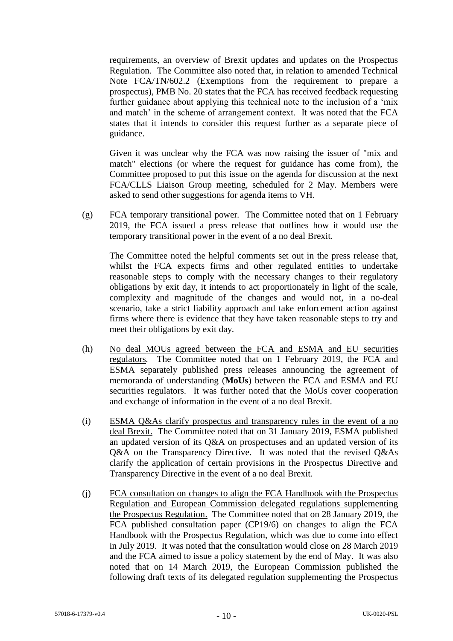requirements, an overview of Brexit updates and updates on the Prospectus Regulation. The Committee also noted that, in relation to amended Technical Note FCA/TN/602.2 (Exemptions from the requirement to prepare a prospectus), PMB No. 20 states that the FCA has received feedback requesting further guidance about applying this technical note to the inclusion of a 'mix and match' in the scheme of arrangement context. It was noted that the FCA states that it intends to consider this request further as a separate piece of guidance.

Given it was unclear why the FCA was now raising the issuer of "mix and match" elections (or where the request for guidance has come from), the Committee proposed to put this issue on the agenda for discussion at the next FCA/CLLS Liaison Group meeting, scheduled for 2 May. Members were asked to send other suggestions for agenda items to VH.

(g) FCA temporary transitional power*.* The Committee noted that on 1 February 2019, the FCA issued a press release that outlines how it would use the temporary transitional power in the event of a no deal Brexit.

The Committee noted the helpful comments set out in the press release that, whilst the FCA expects firms and other regulated entities to undertake reasonable steps to comply with the necessary changes to their regulatory obligations by exit day, it intends to act proportionately in light of the scale, complexity and magnitude of the changes and would not, in a no-deal scenario, take a strict liability approach and take enforcement action against firms where there is evidence that they have taken reasonable steps to try and meet their obligations by exit day.

- (h) No deal MOUs agreed between the FCA and ESMA and EU securities regulators*.* The Committee noted that on 1 February 2019, the FCA and ESMA separately published press releases announcing the agreement of memoranda of understanding (**MoUs**) between the FCA and ESMA and EU securities regulators. It was further noted that the MoUs cover cooperation and exchange of information in the event of a no deal Brexit.
- (i) ESMA Q&As clarify prospectus and transparency rules in the event of a no deal Brexit. The Committee noted that on 31 January 2019, ESMA published an updated version of its Q&A on prospectuses and an updated version of its Q&A on the Transparency Directive. It was noted that the revised Q&As clarify the application of certain provisions in the Prospectus Directive and Transparency Directive in the event of a no deal Brexit.
- (j) FCA consultation on changes to align the FCA Handbook with the Prospectus Regulation and European Commission delegated regulations supplementing the Prospectus Regulation. The Committee noted that on 28 January 2019, the FCA published consultation paper (CP19/6) on changes to align the FCA Handbook with the Prospectus Regulation, which was due to come into effect in July 2019. It was noted that the consultation would close on 28 March 2019 and the FCA aimed to issue a policy statement by the end of May. It was also noted that on 14 March 2019, the European Commission published the following draft texts of its delegated regulation supplementing the Prospectus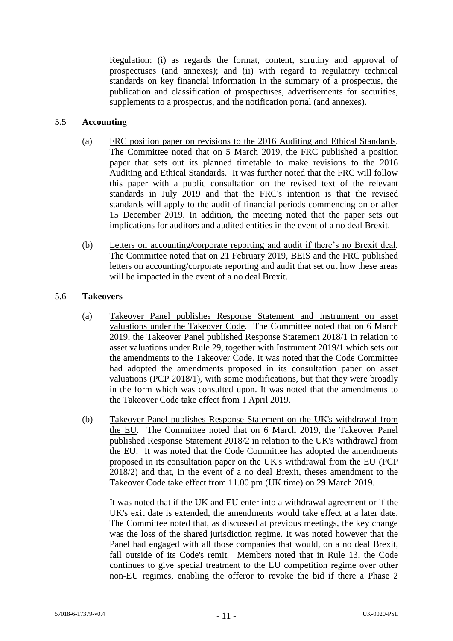Regulation: (i) as regards the format, content, scrutiny and approval of prospectuses (and annexes); and (ii) with regard to regulatory technical standards on key financial information in the summary of a prospectus, the publication and classification of prospectuses, advertisements for securities, supplements to a prospectus, and the notification portal (and annexes).

### 5.5 **Accounting**

- (a) FRC position paper on revisions to the 2016 Auditing and Ethical Standards. The Committee noted that on 5 March 2019, the FRC published a position paper that sets out its planned timetable to make revisions to the 2016 Auditing and Ethical Standards. It was further noted that the FRC will follow this paper with a public consultation on the revised text of the relevant standards in July 2019 and that the FRC's intention is that the revised standards will apply to the audit of financial periods commencing on or after 15 December 2019. In addition, the meeting noted that the paper sets out implications for auditors and audited entities in the event of a no deal Brexit.
- (b) Letters on accounting/corporate reporting and audit if there's no Brexit deal*.* The Committee noted that on 21 February 2019, BEIS and the FRC published letters on accounting/corporate reporting and audit that set out how these areas will be impacted in the event of a no deal Brexit.

### 5.6 **Takeovers**

- (a) Takeover Panel publishes Response Statement and Instrument on asset valuations under the Takeover Code*.* The Committee noted that on 6 March 2019, the Takeover Panel published Response Statement 2018/1 in relation to asset valuations under Rule 29, together with Instrument 2019/1 which sets out the amendments to the Takeover Code. It was noted that the Code Committee had adopted the amendments proposed in its consultation paper on asset valuations (PCP 2018/1), with some modifications, but that they were broadly in the form which was consulted upon. It was noted that the amendments to the Takeover Code take effect from 1 April 2019.
- (b) Takeover Panel publishes Response Statement on the UK's withdrawal from the EU*.* The Committee noted that on 6 March 2019, the Takeover Panel published Response Statement 2018/2 in relation to the UK's withdrawal from the EU. It was noted that the Code Committee has adopted the amendments proposed in its consultation paper on the UK's withdrawal from the EU (PCP 2018/2) and that, in the event of a no deal Brexit, theses amendment to the Takeover Code take effect from 11.00 pm (UK time) on 29 March 2019.

It was noted that if the UK and EU enter into a withdrawal agreement or if the UK's exit date is extended, the amendments would take effect at a later date. The Committee noted that, as discussed at previous meetings, the key change was the loss of the shared jurisdiction regime. It was noted however that the Panel had engaged with all those companies that would, on a no deal Brexit, fall outside of its Code's remit. Members noted that in Rule 13, the Code continues to give special treatment to the EU competition regime over other non-EU regimes, enabling the offeror to revoke the bid if there a Phase 2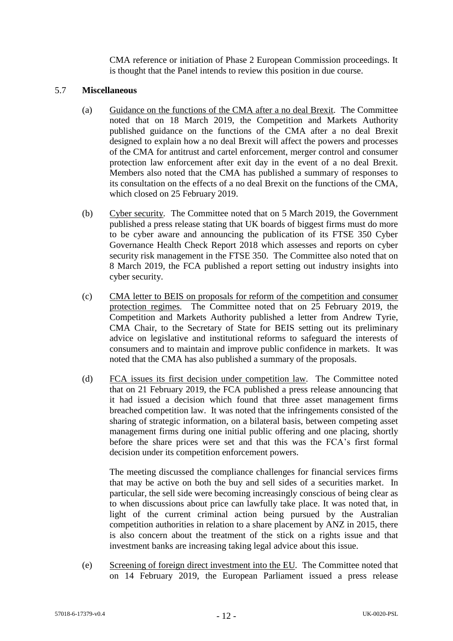CMA reference or initiation of Phase 2 European Commission proceedings. It is thought that the Panel intends to review this position in due course.

### 5.7 **Miscellaneous**

- (a) Guidance on the functions of the CMA after a no deal Brexit*.* The Committee noted that on 18 March 2019, the Competition and Markets Authority published guidance on the functions of the CMA after a no deal Brexit designed to explain how a no deal Brexit will affect the powers and processes of the CMA for antitrust and cartel enforcement, merger control and consumer protection law enforcement after exit day in the event of a no deal Brexit. Members also noted that the CMA has published a summary of responses to its consultation on the effects of a no deal Brexit on the functions of the CMA, which closed on 25 February 2019.
- (b) Cyber security*.* The Committee noted that on 5 March 2019, the Government published a press release stating that UK boards of biggest firms must do more to be cyber aware and announcing the publication of its FTSE 350 Cyber Governance Health Check Report 2018 which assesses and reports on cyber security risk management in the FTSE 350. The Committee also noted that on 8 March 2019, the FCA published a report setting out industry insights into cyber security.
- (c) CMA letter to BEIS on proposals for reform of the competition and consumer protection regimes*.* The Committee noted that on 25 February 2019, the Competition and Markets Authority published a letter from Andrew Tyrie, CMA Chair, to the Secretary of State for BEIS setting out its preliminary advice on legislative and institutional reforms to safeguard the interests of consumers and to maintain and improve public confidence in markets. It was noted that the CMA has also published a summary of the proposals.
- (d) FCA issues its first decision under competition law*.* The Committee noted that on 21 February 2019, the FCA published a press release announcing that it had issued a decision which found that three asset management firms breached competition law. It was noted that the infringements consisted of the sharing of strategic information, on a bilateral basis, between competing asset management firms during one initial public offering and one placing, shortly before the share prices were set and that this was the FCA's first formal decision under its competition enforcement powers.

The meeting discussed the compliance challenges for financial services firms that may be active on both the buy and sell sides of a securities market. In particular, the sell side were becoming increasingly conscious of being clear as to when discussions about price can lawfully take place. It was noted that, in light of the current criminal action being pursued by the Australian competition authorities in relation to a share placement by ANZ in 2015, there is also concern about the treatment of the stick on a rights issue and that investment banks are increasing taking legal advice about this issue.

(e) Screening of foreign direct investment into the EU*.* The Committee noted that on 14 February 2019, the European Parliament issued a press release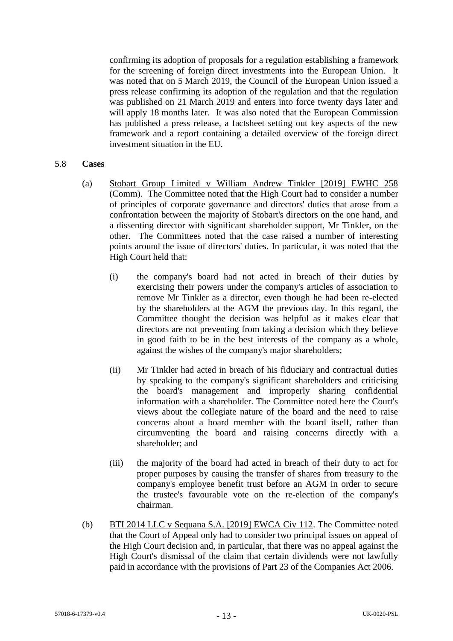confirming its adoption of proposals for a regulation establishing a framework for the screening of foreign direct investments into the European Union. It was noted that on 5 March 2019, the Council of the European Union issued a press release confirming its adoption of the regulation and that the regulation was published on 21 March 2019 and enters into force twenty days later and will apply 18 months later. It was also noted that the European Commission has published a press release, a factsheet setting out key aspects of the new framework and a report containing a detailed overview of the foreign direct investment situation in the EU.

#### 5.8 **Cases**

- (a) Stobart Group Limited v William Andrew Tinkler [2019] EWHC 258 (Comm). The Committee noted that the High Court had to consider a number of principles of corporate governance and directors' duties that arose from a confrontation between the majority of Stobart's directors on the one hand, and a dissenting director with significant shareholder support, Mr Tinkler, on the other. The Committees noted that the case raised a number of interesting points around the issue of directors' duties. In particular, it was noted that the High Court held that:
	- (i) the company's board had not acted in breach of their duties by exercising their powers under the company's articles of association to remove Mr Tinkler as a director, even though he had been re-elected by the shareholders at the AGM the previous day. In this regard, the Committee thought the decision was helpful as it makes clear that directors are not preventing from taking a decision which they believe in good faith to be in the best interests of the company as a whole, against the wishes of the company's major shareholders;
	- (ii) Mr Tinkler had acted in breach of his fiduciary and contractual duties by speaking to the company's significant shareholders and criticising the board's management and improperly sharing confidential information with a shareholder. The Committee noted here the Court's views about the collegiate nature of the board and the need to raise concerns about a board member with the board itself, rather than circumventing the board and raising concerns directly with a shareholder; and
	- (iii) the majority of the board had acted in breach of their duty to act for proper purposes by causing the transfer of shares from treasury to the company's employee benefit trust before an AGM in order to secure the trustee's favourable vote on the re-election of the company's chairman.
- (b) BTI 2014 LLC v Sequana S.A. [2019] EWCA Civ 112. The Committee noted that the Court of Appeal only had to consider two principal issues on appeal of the High Court decision and, in particular, that there was no appeal against the High Court's dismissal of the claim that certain dividends were not lawfully paid in accordance with the provisions of Part 23 of the Companies Act 2006.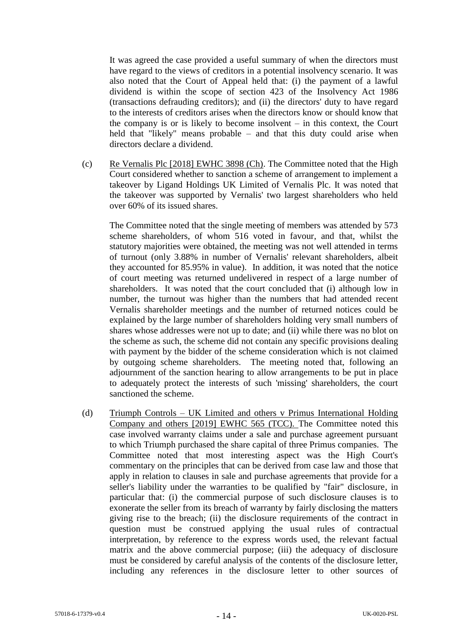It was agreed the case provided a useful summary of when the directors must have regard to the views of creditors in a potential insolvency scenario. It was also noted that the Court of Appeal held that: (i) the payment of a lawful dividend is within the scope of section 423 of the Insolvency Act 1986 (transactions defrauding creditors); and (ii) the directors' duty to have regard to the interests of creditors arises when the directors know or should know that the company is or is likely to become insolvent – in this context, the Court held that "likely" means probable – and that this duty could arise when directors declare a dividend.

(c) Re Vernalis Plc [2018] EWHC 3898 (Ch). The Committee noted that the High Court considered whether to sanction a scheme of arrangement to implement a takeover by Ligand Holdings UK Limited of Vernalis Plc. It was noted that the takeover was supported by Vernalis' two largest shareholders who held over 60% of its issued shares.

The Committee noted that the single meeting of members was attended by 573 scheme shareholders, of whom 516 voted in favour, and that, whilst the statutory majorities were obtained, the meeting was not well attended in terms of turnout (only 3.88% in number of Vernalis' relevant shareholders, albeit they accounted for 85.95% in value). In addition, it was noted that the notice of court meeting was returned undelivered in respect of a large number of shareholders. It was noted that the court concluded that (i) although low in number, the turnout was higher than the numbers that had attended recent Vernalis shareholder meetings and the number of returned notices could be explained by the large number of shareholders holding very small numbers of shares whose addresses were not up to date; and (ii) while there was no blot on the scheme as such, the scheme did not contain any specific provisions dealing with payment by the bidder of the scheme consideration which is not claimed by outgoing scheme shareholders. The meeting noted that, following an adjournment of the sanction hearing to allow arrangements to be put in place to adequately protect the interests of such 'missing' shareholders, the court sanctioned the scheme.

(d) Triumph Controls – UK Limited and others v Primus International Holding Company and others [2019] EWHC 565 (TCC). The Committee noted this case involved warranty claims under a sale and purchase agreement pursuant to which Triumph purchased the share capital of three Primus companies. The Committee noted that most interesting aspect was the High Court's commentary on the principles that can be derived from case law and those that apply in relation to clauses in sale and purchase agreements that provide for a seller's liability under the warranties to be qualified by "fair" disclosure, in particular that: (i) the commercial purpose of such disclosure clauses is to exonerate the seller from its breach of warranty by fairly disclosing the matters giving rise to the breach; (ii) the disclosure requirements of the contract in question must be construed applying the usual rules of contractual interpretation, by reference to the express words used, the relevant factual matrix and the above commercial purpose; (iii) the adequacy of disclosure must be considered by careful analysis of the contents of the disclosure letter, including any references in the disclosure letter to other sources of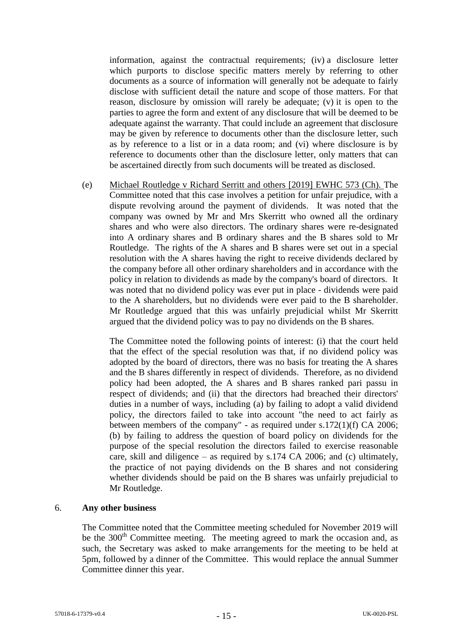information, against the contractual requirements; (iv) a disclosure letter which purports to disclose specific matters merely by referring to other documents as a source of information will generally not be adequate to fairly disclose with sufficient detail the nature and scope of those matters. For that reason, disclosure by omission will rarely be adequate; (v) it is open to the parties to agree the form and extent of any disclosure that will be deemed to be adequate against the warranty. That could include an agreement that disclosure may be given by reference to documents other than the disclosure letter, such as by reference to a list or in a data room; and (vi) where disclosure is by reference to documents other than the disclosure letter, only matters that can be ascertained directly from such documents will be treated as disclosed.

(e) Michael Routledge v Richard Serritt and others [2019] EWHC 573 (Ch). The Committee noted that this case involves a petition for unfair prejudice, with a dispute revolving around the payment of dividends. It was noted that the company was owned by Mr and Mrs Skerritt who owned all the ordinary shares and who were also directors. The ordinary shares were re-designated into A ordinary shares and B ordinary shares and the B shares sold to Mr Routledge. The rights of the A shares and B shares were set out in a special resolution with the A shares having the right to receive dividends declared by the company before all other ordinary shareholders and in accordance with the policy in relation to dividends as made by the company's board of directors. It was noted that no dividend policy was ever put in place - dividends were paid to the A shareholders, but no dividends were ever paid to the B shareholder. Mr Routledge argued that this was unfairly prejudicial whilst Mr Skerritt argued that the dividend policy was to pay no dividends on the B shares.

The Committee noted the following points of interest: (i) that the court held that the effect of the special resolution was that, if no dividend policy was adopted by the board of directors, there was no basis for treating the A shares and the B shares differently in respect of dividends. Therefore, as no dividend policy had been adopted, the A shares and B shares ranked pari passu in respect of dividends; and (ii) that the directors had breached their directors' duties in a number of ways, including (a) by failing to adopt a valid dividend policy, the directors failed to take into account "the need to act fairly as between members of the company" - as required under s.172(1)(f) CA 2006; (b) by failing to address the question of board policy on dividends for the purpose of the special resolution the directors failed to exercise reasonable care, skill and diligence – as required by s.174 CA 2006; and (c) ultimately, the practice of not paying dividends on the B shares and not considering whether dividends should be paid on the B shares was unfairly prejudicial to Mr Routledge.

### 6. **Any other business**

The Committee noted that the Committee meeting scheduled for November 2019 will be the  $300<sup>th</sup>$  Committee meeting. The meeting agreed to mark the occasion and, as such, the Secretary was asked to make arrangements for the meeting to be held at 5pm, followed by a dinner of the Committee. This would replace the annual Summer Committee dinner this year.